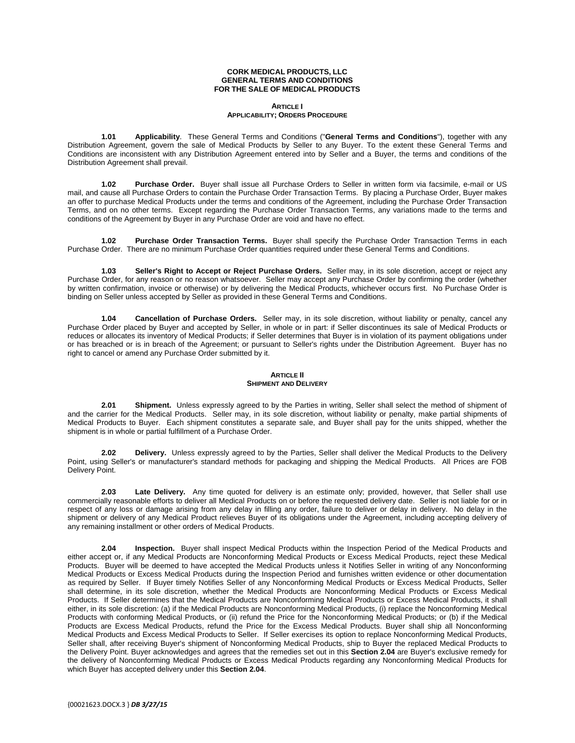#### **CORK MEDICAL PRODUCTS, LLC GENERAL TERMS AND CONDITIONS FOR THE SALE OF MEDICAL PRODUCTS**

# **ARTICLE I APPLICABILITY; ORDERS PROCEDURE**

**1.01 Applicability**. These General Terms and Conditions ("**General Terms and Conditions**"), together with any Distribution Agreement, govern the sale of Medical Products by Seller to any Buyer. To the extent these General Terms and Conditions are inconsistent with any Distribution Agreement entered into by Seller and a Buyer, the terms and conditions of the Distribution Agreement shall prevail.

**1.02 Purchase Order.** Buyer shall issue all Purchase Orders to Seller in written form via facsimile, e-mail or US mail, and cause all Purchase Orders to contain the Purchase Order Transaction Terms. By placing a Purchase Order, Buyer makes an offer to purchase Medical Products under the terms and conditions of the Agreement, including the Purchase Order Transaction Terms, and on no other terms. Except regarding the Purchase Order Transaction Terms, any variations made to the terms and conditions of the Agreement by Buyer in any Purchase Order are void and have no effect.

**1.02 Purchase Order Transaction Terms.** Buyer shall specify the Purchase Order Transaction Terms in each Purchase Order. There are no minimum Purchase Order quantities required under these General Terms and Conditions.

**1.03 Seller's Right to Accept or Reject Purchase Orders.** Seller may, in its sole discretion, accept or reject any Purchase Order, for any reason or no reason whatsoever. Seller may accept any Purchase Order by confirming the order (whether by written confirmation, invoice or otherwise) or by delivering the Medical Products, whichever occurs first. No Purchase Order is binding on Seller unless accepted by Seller as provided in these General Terms and Conditions.

**1.04 Cancellation of Purchase Orders.** Seller may, in its sole discretion, without liability or penalty, cancel any Purchase Order placed by Buyer and accepted by Seller, in whole or in part: if Seller discontinues its sale of Medical Products or reduces or allocates its inventory of Medical Products; if Seller determines that Buyer is in violation of its payment obligations under or has breached or is in breach of the Agreement; or pursuant to Seller's rights under the Distribution Agreement. Buyer has no right to cancel or amend any Purchase Order submitted by it.

# **ARTICLE II SHIPMENT AND DELIVERY**

**2.01 Shipment.** Unless expressly agreed to by the Parties in writing, Seller shall select the method of shipment of and the carrier for the Medical Products. Seller may, in its sole discretion, without liability or penalty, make partial shipments of Medical Products to Buyer. Each shipment constitutes a separate sale, and Buyer shall pay for the units shipped, whether the shipment is in whole or partial fulfillment of a Purchase Order.

**2.02 Delivery.** Unless expressly agreed to by the Parties, Seller shall deliver the Medical Products to the Delivery Point, using Seller's or manufacturer's standard methods for packaging and shipping the Medical Products. All Prices are FOB Delivery Point.

**2.03 Late Delivery.** Any time quoted for delivery is an estimate only; provided, however, that Seller shall use commercially reasonable efforts to deliver all Medical Products on or before the requested delivery date. Seller is not liable for or in respect of any loss or damage arising from any delay in filling any order, failure to deliver or delay in delivery. No delay in the shipment or delivery of any Medical Product relieves Buyer of its obligations under the Agreement, including accepting delivery of any remaining installment or other orders of Medical Products.

**2.04 Inspection.** Buyer shall inspect Medical Products within the Inspection Period of the Medical Products and either accept or, if any Medical Products are Nonconforming Medical Products or Excess Medical Products, reject these Medical Products. Buyer will be deemed to have accepted the Medical Products unless it Notifies Seller in writing of any Nonconforming Medical Products or Excess Medical Products during the Inspection Period and furnishes written evidence or other documentation as required by Seller. If Buyer timely Notifies Seller of any Nonconforming Medical Products or Excess Medical Products, Seller shall determine, in its sole discretion, whether the Medical Products are Nonconforming Medical Products or Excess Medical Products. If Seller determines that the Medical Products are Nonconforming Medical Products or Excess Medical Products, it shall either, in its sole discretion: (a) if the Medical Products are Nonconforming Medical Products, (i) replace the Nonconforming Medical Products with conforming Medical Products, or (ii) refund the Price for the Nonconforming Medical Products; or (b) if the Medical Products are Excess Medical Products, refund the Price for the Excess Medical Products. Buyer shall ship all Nonconforming Medical Products and Excess Medical Products to Seller. If Seller exercises its option to replace Nonconforming Medical Products, Seller shall, after receiving Buyer's shipment of Nonconforming Medical Products, ship to Buyer the replaced Medical Products to the Delivery Point. Buyer acknowledges and agrees that the remedies set out in this **Section 2.04** are Buyer's exclusive remedy for the delivery of Nonconforming Medical Products or Excess Medical Products regarding any Nonconforming Medical Products for which Buyer has accepted delivery under this **Section 2.04**.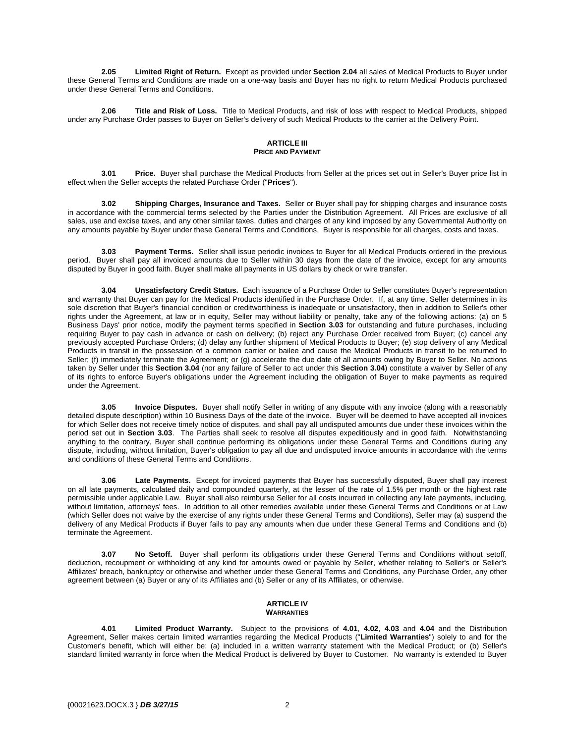**2.05 Limited Right of Return.** Except as provided under **Section 2.04** all sales of Medical Products to Buyer under these General Terms and Conditions are made on a one-way basis and Buyer has no right to return Medical Products purchased under these General Terms and Conditions.

**2.06 Title and Risk of Loss.** Title to Medical Products, and risk of loss with respect to Medical Products, shipped under any Purchase Order passes to Buyer on Seller's delivery of such Medical Products to the carrier at the Delivery Point.

# **ARTICLE III PRICE AND PAYMENT**

**3.01 Price.** Buyer shall purchase the Medical Products from Seller at the prices set out in Seller's Buyer price list in effect when the Seller accepts the related Purchase Order ("**Prices**").

**3.02 Shipping Charges, Insurance and Taxes.** Seller or Buyer shall pay for shipping charges and insurance costs in accordance with the commercial terms selected by the Parties under the Distribution Agreement. All Prices are exclusive of all sales, use and excise taxes, and any other similar taxes, duties and charges of any kind imposed by any Governmental Authority on any amounts payable by Buyer under these General Terms and Conditions. Buyer is responsible for all charges, costs and taxes.

**3.03 Payment Terms.** Seller shall issue periodic invoices to Buyer for all Medical Products ordered in the previous period. Buyer shall pay all invoiced amounts due to Seller within 30 days from the date of the invoice, except for any amounts disputed by Buyer in good faith. Buyer shall make all payments in US dollars by check or wire transfer.

**3.04 Unsatisfactory Credit Status.** Each issuance of a Purchase Order to Seller constitutes Buyer's representation and warranty that Buyer can pay for the Medical Products identified in the Purchase Order. If, at any time, Seller determines in its sole discretion that Buyer's financial condition or creditworthiness is inadequate or unsatisfactory, then in addition to Seller's other rights under the Agreement, at law or in equity, Seller may without liability or penalty, take any of the following actions: (a) on 5 Business Days' prior notice, modify the payment terms specified in **Section 3.03** for outstanding and future purchases, including requiring Buyer to pay cash in advance or cash on delivery; (b) reject any Purchase Order received from Buyer; (c) cancel any previously accepted Purchase Orders; (d) delay any further shipment of Medical Products to Buyer; (e) stop delivery of any Medical Products in transit in the possession of a common carrier or bailee and cause the Medical Products in transit to be returned to Seller; (f) immediately terminate the Agreement; or (g) accelerate the due date of all amounts owing by Buyer to Seller. No actions taken by Seller under this **Section 3.04** (nor any failure of Seller to act under this **Section 3.04**) constitute a waiver by Seller of any of its rights to enforce Buyer's obligations under the Agreement including the obligation of Buyer to make payments as required under the Agreement.

**3.05 Invoice Disputes.** Buyer shall notify Seller in writing of any dispute with any invoice (along with a reasonably detailed dispute description) within 10 Business Days of the date of the invoice. Buyer will be deemed to have accepted all invoices for which Seller does not receive timely notice of disputes, and shall pay all undisputed amounts due under these invoices within the period set out in **Section 3.03**. The Parties shall seek to resolve all disputes expeditiously and in good faith. Notwithstanding anything to the contrary, Buyer shall continue performing its obligations under these General Terms and Conditions during any dispute, including, without limitation, Buyer's obligation to pay all due and undisputed invoice amounts in accordance with the terms and conditions of these General Terms and Conditions.

**3.06 Late Payments.** Except for invoiced payments that Buyer has successfully disputed, Buyer shall pay interest on all late payments, calculated daily and compounded quarterly, at the lesser of the rate of 1.5% per month or the highest rate permissible under applicable Law. Buyer shall also reimburse Seller for all costs incurred in collecting any late payments, including, without limitation, attorneys' fees. In addition to all other remedies available under these General Terms and Conditions or at Law (which Seller does not waive by the exercise of any rights under these General Terms and Conditions), Seller may (a) suspend the delivery of any Medical Products if Buyer fails to pay any amounts when due under these General Terms and Conditions and (b) terminate the Agreement.

**3.07 No Setoff.** Buyer shall perform its obligations under these General Terms and Conditions without setoff, deduction, recoupment or withholding of any kind for amounts owed or payable by Seller, whether relating to Seller's or Seller's Affiliates' breach, bankruptcy or otherwise and whether under these General Terms and Conditions, any Purchase Order, any other agreement between (a) Buyer or any of its Affiliates and (b) Seller or any of its Affiliates, or otherwise.

### **ARTICLE IV WARRANTIES**

<span id="page-1-0"></span>**4.01 Limited Product Warranty.** Subject to the provisions of **[4.01](#page-2-0)**, **[4.02](#page-2-1)**, **4.03** and **[4.04](#page-2-2)** and the Distribution Agreement, Seller makes certain limited warranties regarding the Medical Products ("**Limited Warranties**") solely to and for the Customer's benefit, which will either be: (a) included in a written warranty statement with the Medical Product; or (b) Seller's standard limited warranty in force when the Medical Product is delivered by Buyer to Customer. No warranty is extended to Buyer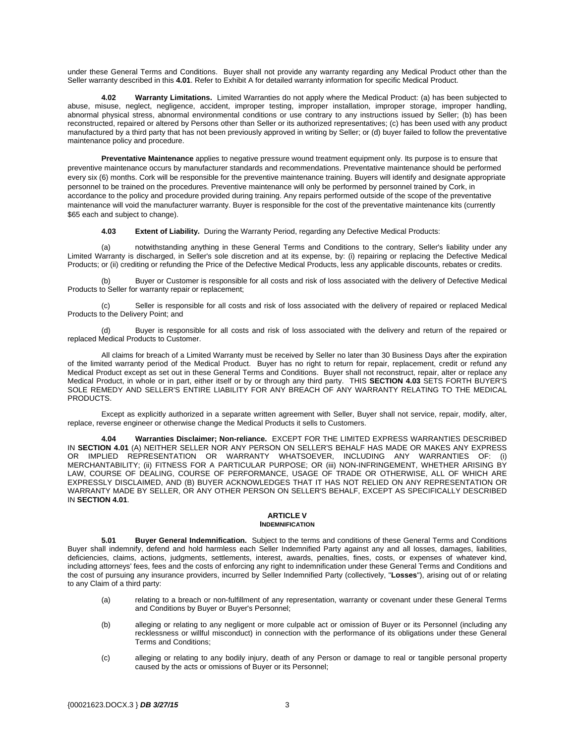<span id="page-2-0"></span>under these General Terms and Conditions. Buyer shall not provide any warranty regarding any Medical Product other than the Seller warranty described in this **[4.01](#page-1-0)**. Refer to Exhibit A for detailed warranty information for specific Medical Product.

**4.02 Warranty Limitations.** Limited Warranties do not apply where the Medical Product: (a) has been subjected to abuse, misuse, neglect, negligence, accident, improper testing, improper installation, improper storage, improper handling, abnormal physical stress, abnormal environmental conditions or use contrary to any instructions issued by Seller; (b) has been reconstructed, repaired or altered by Persons other than Seller or its authorized representatives; (c) has been used with any product manufactured by a third party that has not been previously approved in writing by Seller; or (d) buyer failed to follow the preventative maintenance policy and procedure.

**Preventative Maintenance** applies to negative pressure wound treatment equipment only. Its purpose is to ensure that preventive maintenance occurs by manufacturer standards and recommendations. Preventative maintenance should be performed every six (6) months. Cork will be responsible for the preventive maintenance training. Buyers will identify and designate appropriate personnel to be trained on the procedures. Preventive maintenance will only be performed by personnel trained by Cork, in accordance to the policy and procedure provided during training. Any repairs performed outside of the scope of the preventative maintenance will void the manufacturer warranty. Buyer is responsible for the cost of the preventative maintenance kits (currently \$65 each and subject to change).

<span id="page-2-1"></span>**4.03 Extent of Liability.** During the Warranty Period, regarding any Defective Medical Products:

(a) notwithstanding anything in these General Terms and Conditions to the contrary, Seller's liability under any Limited Warranty is discharged, in Seller's sole discretion and at its expense, by: (i) repairing or replacing the Defective Medical Products; or (ii) crediting or refunding the Price of the Defective Medical Products, less any applicable discounts, rebates or credits.

Buyer or Customer is responsible for all costs and risk of loss associated with the delivery of Defective Medical Products to Seller for warranty repair or replacement;

(c) Seller is responsible for all costs and risk of loss associated with the delivery of repaired or replaced Medical Products to the Delivery Point; and

(d) Buyer is responsible for all costs and risk of loss associated with the delivery and return of the repaired or replaced Medical Products to Customer.

All claims for breach of a Limited Warranty must be received by Seller no later than 30 Business Days after the expiration of the limited warranty period of the Medical Product. Buyer has no right to return for repair, replacement, credit or refund any Medical Product except as set out in these General Terms and Conditions. Buyer shall not reconstruct, repair, alter or replace any Medical Product, in whole or in part, either itself or by or through any third party. THIS **SECTION 4.03** SETS FORTH BUYER'S SOLE REMEDY AND SELLER'S ENTIRE LIABILITY FOR ANY BREACH OF ANY WARRANTY RELATING TO THE MEDICAL PRODUCTS.

Except as explicitly authorized in a separate written agreement with Seller, Buyer shall not service, repair, modify, alter, replace, reverse engineer or otherwise change the Medical Products it sells to Customers.

<span id="page-2-2"></span>**4.04 Warranties Disclaimer; Non-reliance.** EXCEPT FOR THE LIMITED EXPRESS WARRANTIES DESCRIBED IN **SECTION 4.01** (A) NEITHER SELLER NOR ANY PERSON ON SELLER'S BEHALF HAS MADE OR MAKES ANY EXPRESS OR IMPLIED REPRESENTATION OR WARRANTY WHATSOEVER, INCLUDING ANY WARRANTIES OF: (i) MERCHANTABILITY; (ii) FITNESS FOR A PARTICULAR PURPOSE; OR (iii) NON-INFRINGEMENT, WHETHER ARISING BY LAW, COURSE OF DEALING, COURSE OF PERFORMANCE, USAGE OF TRADE OR OTHERWISE, ALL OF WHICH ARE EXPRESSLY DISCLAIMED, AND (B) BUYER ACKNOWLEDGES THAT IT HAS NOT RELIED ON ANY REPRESENTATION OR WARRANTY MADE BY SELLER, OR ANY OTHER PERSON ON SELLER'S BEHALF, EXCEPT AS SPECIFICALLY DESCRIBED IN **SECTION 4.01**.

#### **ARTICLE V INDEMNIFICATION**

**5.01 Buyer General Indemnification.** Subject to the terms and conditions of these General Terms and Conditions Buyer shall indemnify, defend and hold harmless each Seller Indemnified Party against any and all losses, damages, liabilities, deficiencies, claims, actions, judgments, settlements, interest, awards, penalties, fines, costs, or expenses of whatever kind, including attorneys' fees, fees and the costs of enforcing any right to indemnification under these General Terms and Conditions and the cost of pursuing any insurance providers, incurred by Seller Indemnified Party (collectively, "**Losses**"), arising out of or relating to any Claim of a third party:

- (a) relating to a breach or non-fulfillment of any representation, warranty or covenant under these General Terms and Conditions by Buyer or Buyer's Personnel;
- (b) alleging or relating to any negligent or more culpable act or omission of Buyer or its Personnel (including any recklessness or willful misconduct) in connection with the performance of its obligations under these General Terms and Conditions;
- (c) alleging or relating to any bodily injury, death of any Person or damage to real or tangible personal property caused by the acts or omissions of Buyer or its Personnel;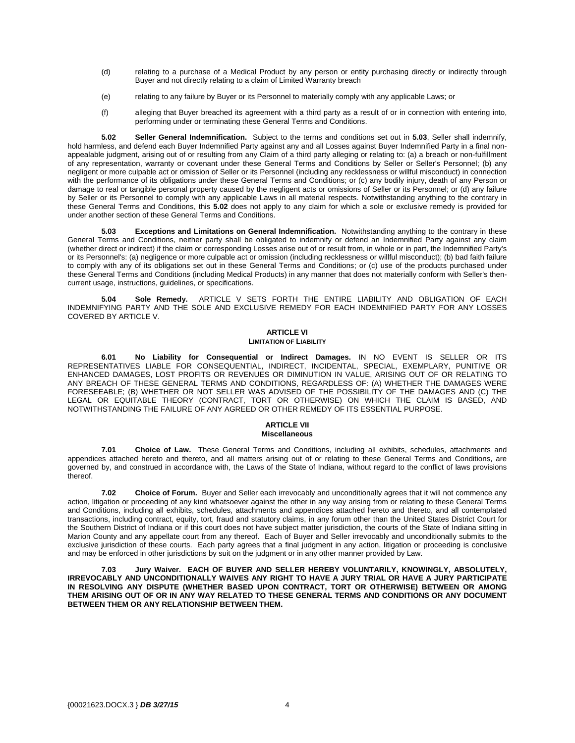- (d) relating to a purchase of a Medical Product by any person or entity purchasing directly or indirectly through Buyer and not directly relating to a claim of Limited Warranty breach
- (e) relating to any failure by Buyer or its Personnel to materially comply with any applicable Laws; or
- (f) alleging that Buyer breached its agreement with a third party as a result of or in connection with entering into, performing under or terminating these General Terms and Conditions.

<span id="page-3-1"></span>**5.02 Seller General Indemnification.** Subject to the terms and conditions set out in **[5.03](#page-3-0)**, Seller shall indemnify, hold harmless, and defend each Buyer Indemnified Party against any and all Losses against Buyer Indemnified Party in a final nonappealable judgment, arising out of or resulting from any Claim of a third party alleging or relating to: (a) a breach or non-fulfillment of any representation, warranty or covenant under these General Terms and Conditions by Seller or Seller's Personnel; (b) any negligent or more culpable act or omission of Seller or its Personnel (including any recklessness or willful misconduct) in connection with the performance of its obligations under these General Terms and Conditions; or (c) any bodily injury, death of any Person or damage to real or tangible personal property caused by the negligent acts or omissions of Seller or its Personnel; or (d) any failure by Seller or its Personnel to comply with any applicable Laws in all material respects. Notwithstanding anything to the contrary in these General Terms and Conditions, this **[5.02](#page-3-1)** does not apply to any claim for which a sole or exclusive remedy is provided for under another section of these General Terms and Conditions.

<span id="page-3-0"></span>**5.03 Exceptions and Limitations on General Indemnification.** Notwithstanding anything to the contrary in these General Terms and Conditions, neither party shall be obligated to indemnify or defend an Indemnified Party against any claim (whether direct or indirect) if the claim or corresponding Losses arise out of or result from, in whole or in part, the Indemnified Party's or its Personnel's: (a) negligence or more culpable act or omission (including recklessness or willful misconduct); (b) bad faith failure to comply with any of its obligations set out in these General Terms and Conditions; or (c) use of the products purchased under these General Terms and Conditions (including Medical Products) in any manner that does not materially conform with Seller's thencurrent usage, instructions, guidelines, or specifications.

**5.04 Sole Remedy.** ARTICLE V SETS FORTH THE ENTIRE LIABILITY AND OBLIGATION OF EACH INDEMNIFYING PARTY AND THE SOLE AND EXCLUSIVE REMEDY FOR EACH INDEMNIFIED PARTY FOR ANY LOSSES COVERED BY ARTICLE V.

# **ARTICLE VI LIMITATION OF LIABILITY**

**6.01 No Liability for Consequential or Indirect Damages.** IN NO EVENT IS SELLER OR ITS REPRESENTATIVES LIABLE FOR CONSEQUENTIAL, INDIRECT, INCIDENTAL, SPECIAL, EXEMPLARY, PUNITIVE OR ENHANCED DAMAGES, LOST PROFITS OR REVENUES OR DIMINUTION IN VALUE, ARISING OUT OF OR RELATING TO ANY BREACH OF THESE GENERAL TERMS AND CONDITIONS, REGARDLESS OF: (A) WHETHER THE DAMAGES WERE FORESEEABLE; (B) WHETHER OR NOT SELLER WAS ADVISED OF THE POSSIBILITY OF THE DAMAGES AND (C) THE LEGAL OR EQUITABLE THEORY (CONTRACT, TORT OR OTHERWISE) ON WHICH THE CLAIM IS BASED, AND NOTWITHSTANDING THE FAILURE OF ANY AGREED OR OTHER REMEDY OF ITS ESSENTIAL PURPOSE.

#### **ARTICLE VII Miscellaneous**

**7.01 Choice of Law.** These General Terms and Conditions, including all exhibits, schedules, attachments and appendices attached hereto and thereto, and all matters arising out of or relating to these General Terms and Conditions, are governed by, and construed in accordance with, the Laws of the State of Indiana, without regard to the conflict of laws provisions thereof.

**7.02 Choice of Forum.** Buyer and Seller each irrevocably and unconditionally agrees that it will not commence any action, litigation or proceeding of any kind whatsoever against the other in any way arising from or relating to these General Terms and Conditions, including all exhibits, schedules, attachments and appendices attached hereto and thereto, and all contemplated transactions, including contract, equity, tort, fraud and statutory claims, in any forum other than the United States District Court for the Southern District of Indiana or if this court does not have subject matter jurisdiction, the courts of the State of Indiana sitting in Marion County and any appellate court from any thereof. Each of Buyer and Seller irrevocably and unconditionally submits to the exclusive jurisdiction of these courts. Each party agrees that a final judgment in any action, litigation or proceeding is conclusive and may be enforced in other jurisdictions by suit on the judgment or in any other manner provided by Law.

**7.03 Jury Waiver. EACH OF BUYER AND SELLER HEREBY VOLUNTARILY, KNOWINGLY, ABSOLUTELY, IRREVOCABLY AND UNCONDITIONALLY WAIVES ANY RIGHT TO HAVE A JURY TRIAL OR HAVE A JURY PARTICIPATE IN RESOLVING ANY DISPUTE (WHETHER BASED UPON CONTRACT, TORT OR OTHERWISE) BETWEEN OR AMONG THEM ARISING OUT OF OR IN ANY WAY RELATED TO THESE GENERAL TERMS AND CONDITIONS OR ANY DOCUMENT BETWEEN THEM OR ANY RELATIONSHIP BETWEEN THEM.**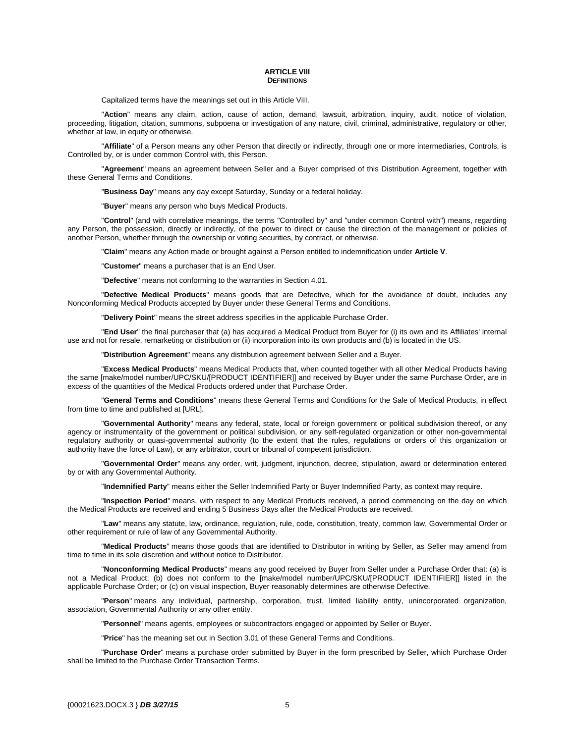#### **ARTICLE VIII DEFINITIONS**

Capitalized terms have the meanings set out in this Article ViII.

"**Action**" means any claim, action, cause of action, demand, lawsuit, arbitration, inquiry, audit, notice of violation, proceeding, litigation, citation, summons, subpoena or investigation of any nature, civil, criminal, administrative, regulatory or other, whether at law, in equity or otherwise.

"**Affiliate**" of a Person means any other Person that directly or indirectly, through one or more intermediaries, Controls, is Controlled by, or is under common Control with, this Person.

"**Agreement**" means an agreement between Seller and a Buyer comprised of this Distribution Agreement, together with these General Terms and Conditions.

"**Business Day**" means any day except Saturday, Sunday or a federal holiday.

"**Buyer**" means any person who buys Medical Products.

"**Control**" (and with correlative meanings, the terms "Controlled by" and "under common Control with") means, regarding any Person, the possession, directly or indirectly, of the power to direct or cause the direction of the management or policies of another Person, whether through the ownership or voting securities, by contract, or otherwise.

"**Claim**" means any Action made or brought against a Person entitled to indemnification under **Article V**.

"**Customer**" means a purchaser that is an End User.

"**Defective**" means not conforming to the warranties in Section 4.01.

"**Defective Medical Products**" means goods that are Defective, which for the avoidance of doubt, includes any Nonconforming Medical Products accepted by Buyer under these General Terms and Conditions.

"**Delivery Point**" means the street address specifies in the applicable Purchase Order.

"**End User**" the final purchaser that (a) has acquired a Medical Product from Buyer for (i) its own and its Affiliates' internal use and not for resale, remarketing or distribution or (ii) incorporation into its own products and (b) is located in the US.

"**Distribution Agreement**" means any distribution agreement between Seller and a Buyer.

"**Excess Medical Products**" means Medical Products that, when counted together with all other Medical Products having the same [make/model number/UPC/SKU/[PRODUCT IDENTIFIER]] and received by Buyer under the same Purchase Order, are in excess of the quantities of the Medical Products ordered under that Purchase Order.

"**General Terms and Conditions**" means these General Terms and Conditions for the Sale of Medical Products, in effect from time to time and published at [URL].

"**Governmental Authority**" means any federal, state, local or foreign government or political subdivision thereof, or any agency or instrumentality of the government or political subdivision, or any self-regulated organization or other non-governmental regulatory authority or quasi-governmental authority (to the extent that the rules, regulations or orders of this organization or authority have the force of Law), or any arbitrator, court or tribunal of competent jurisdiction.

"**Governmental Order**" means any order, writ, judgment, injunction, decree, stipulation, award or determination entered by or with any Governmental Authority.

"**Indemnified Party**" means either the Seller Indemnified Party or Buyer Indemnified Party, as context may require.

"**Inspection Period**" means, with respect to any Medical Products received, a period commencing on the day on which the Medical Products are received and ending 5 Business Days after the Medical Products are received.

"**Law**" means any statute, law, ordinance, regulation, rule, code, constitution, treaty, common law, Governmental Order or other requirement or rule of law of any Governmental Authority.

"**Medical Products**" means those goods that are identified to Distributor in writing by Seller, as Seller may amend from time to time in its sole discretion and without notice to Distributor.

"**Nonconforming Medical Products**" means any good received by Buyer from Seller under a Purchase Order that: (a) is not a Medical Product; (b) does not conform to the [make/model number/UPC/SKU/[PRODUCT IDENTIFIER]] listed in the applicable Purchase Order; or (c) on visual inspection, Buyer reasonably determines are otherwise Defective.

"**Person**" means any individual, partnership, corporation, trust, limited liability entity, unincorporated organization, association, Governmental Authority or any other entity.

"**Personnel**" means agents, employees or subcontractors engaged or appointed by Seller or Buyer.

"**Price**" has the meaning set out in Section 3.01 of these General Terms and Conditions.

"**Purchase Order**" means a purchase order submitted by Buyer in the form prescribed by Seller, which Purchase Order shall be limited to the Purchase Order Transaction Terms.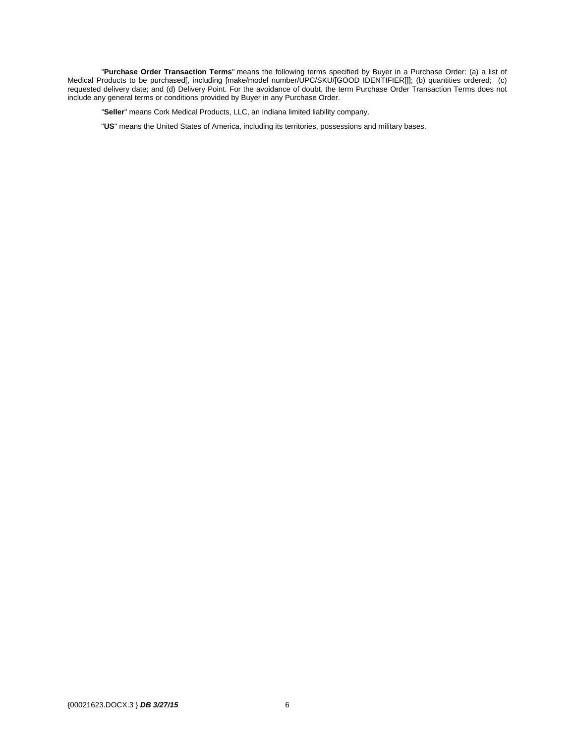"**Purchase Order Transaction Terms**" means the following terms specified by Buyer in a Purchase Order: (a) a list of Medical Products to be purchased[, including [make/model number/UPC/SKU/[GOOD IDENTIFIER]]]; (b) quantities ordered; (c) requested delivery date; and (d) Delivery Point. For the avoidance of doubt, the term Purchase Order Transaction Terms does not include any general terms or conditions provided by Buyer in any Purchase Order.

"**Seller**" means Cork Medical Products, LLC, an Indiana limited liability company.

"**US**" means the United States of America, including its territories, possessions and military bases.